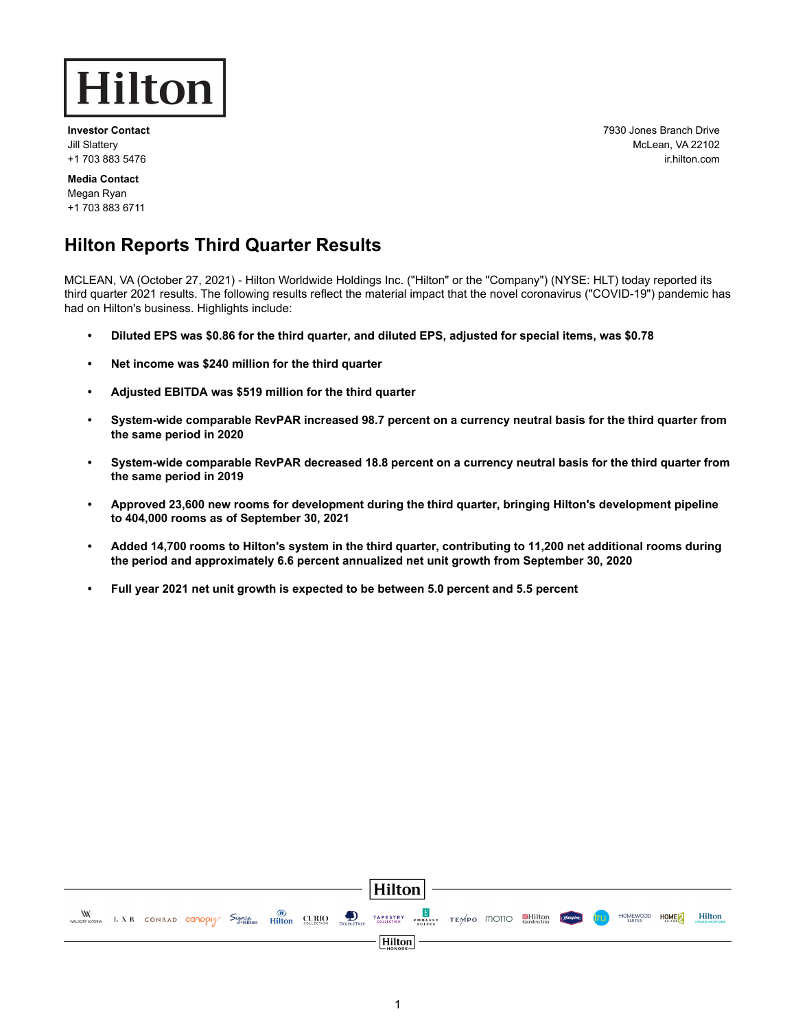

**Media Contact** Megan Ryan +1 703 883 6711

# **Hilton Reports Third Quarter Results**

MCLEAN, VA (October 27, 2021) - Hilton Worldwide Holdings Inc. ("Hilton" or the "Company") (NYSE: HLT) today reported its third quarter 2021 results. The following results reflect the material impact that the novel coronavirus ("COVID-19") pandemic has had on Hilton's business. Highlights include:

- **• Diluted EPS was \$0.86 for the third quarter, and diluted EPS, adjusted for special items, was \$0.78**
- **• Net income was \$240 million for the third quarter**
- **• Adjusted EBITDA was \$519 million for the third quarter**
- **• System-wide comparable RevPAR increased 98.7 percent on a currency neutral basis for the third quarter from the same period in 2020**
- **• System-wide comparable RevPAR decreased 18.8 percent on a currency neutral basis for the third quarter from the same period in 2019**
- **• Approved 23,600 new rooms for development during the third quarter, bringing Hilton's development pipeline to 404,000 rooms as of September 30, 2021**
- **• Added 14,700 rooms to Hilton's system in the third quarter, contributing to 11,200 net additional rooms during the period and approximately 6.6 percent annualized net unit growth from September 30, 2020**
- **• Full year 2021 net unit growth is expected to be between 5.0 percent and 5.5 percent**

|  |                                                                                                                   |  |  | Hilton                    |  |  |  |  |  |
|--|-------------------------------------------------------------------------------------------------------------------|--|--|---------------------------|--|--|--|--|--|
|  | WWW. LXR CONRAD CONOPLY Signia (D. CONSIDER TAPESTRY EXTRASS TEMPO MOTIO EHilton Thuman (TU) HOMEWOOD HOMEY HIton |  |  |                           |  |  |  |  |  |
|  |                                                                                                                   |  |  | Hilton <br>$-$ HONORS $-$ |  |  |  |  |  |

**Investor Contact** 7930 Jones Branch Drive **Transfer 2008** *Investor Contact* 7930 Jones Branch Drive Jill Slattery McLean, VA 22102 +1 703 883 5476 ir.hilton.com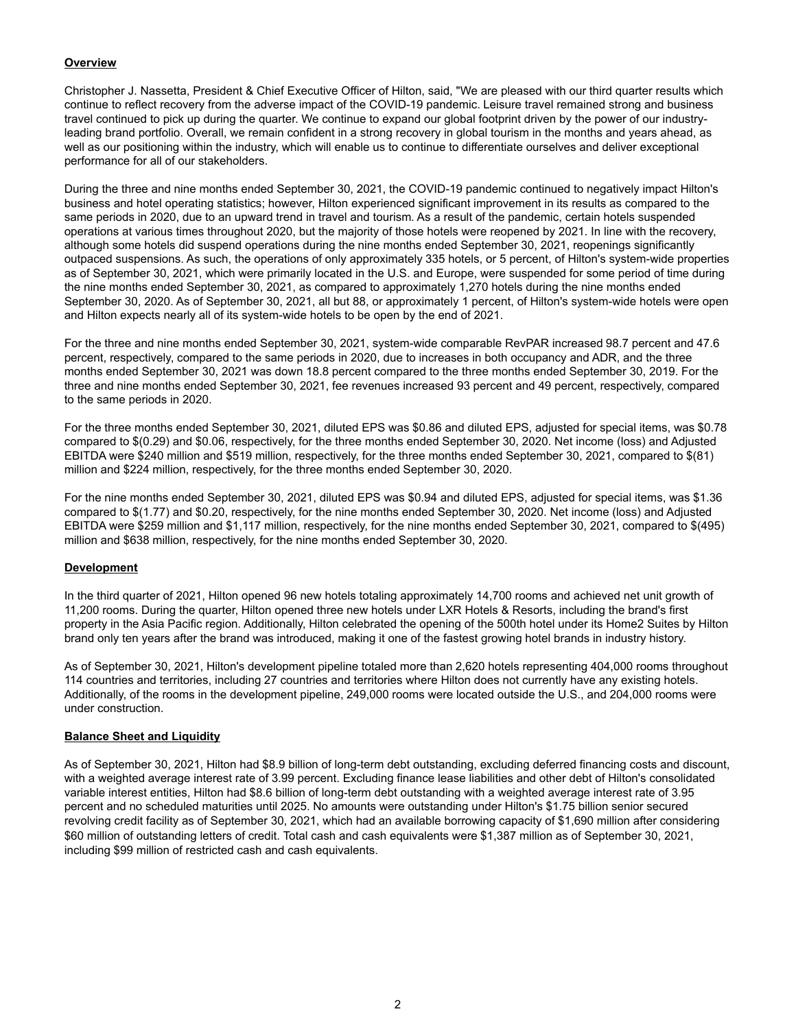## **Overview**

Christopher J. Nassetta, President & Chief Executive Officer of Hilton, said, "We are pleased with our third quarter results which continue to reflect recovery from the adverse impact of the COVID-19 pandemic. Leisure travel remained strong and business travel continued to pick up during the quarter. We continue to expand our global footprint driven by the power of our industryleading brand portfolio. Overall, we remain confident in a strong recovery in global tourism in the months and years ahead, as well as our positioning within the industry, which will enable us to continue to differentiate ourselves and deliver exceptional performance for all of our stakeholders.

During the three and nine months ended September 30, 2021, the COVID-19 pandemic continued to negatively impact Hilton's business and hotel operating statistics; however, Hilton experienced significant improvement in its results as compared to the same periods in 2020, due to an upward trend in travel and tourism. As a result of the pandemic, certain hotels suspended operations at various times throughout 2020, but the majority of those hotels were reopened by 2021. In line with the recovery, although some hotels did suspend operations during the nine months ended September 30, 2021, reopenings significantly outpaced suspensions. As such, the operations of only approximately 335 hotels, or 5 percent, of Hilton's system-wide properties as of September 30, 2021, which were primarily located in the U.S. and Europe, were suspended for some period of time during the nine months ended September 30, 2021, as compared to approximately 1,270 hotels during the nine months ended September 30, 2020. As of September 30, 2021, all but 88, or approximately 1 percent, of Hilton's system-wide hotels were open and Hilton expects nearly all of its system-wide hotels to be open by the end of 2021.

For the three and nine months ended September 30, 2021, system-wide comparable RevPAR increased 98.7 percent and 47.6 percent, respectively, compared to the same periods in 2020, due to increases in both occupancy and ADR, and the three months ended September 30, 2021 was down 18.8 percent compared to the three months ended September 30, 2019. For the three and nine months ended September 30, 2021, fee revenues increased 93 percent and 49 percent, respectively, compared to the same periods in 2020.

For the three months ended September 30, 2021, diluted EPS was \$0.86 and diluted EPS, adjusted for special items, was \$0.78 compared to \$(0.29) and \$0.06, respectively, for the three months ended September 30, 2020. Net income (loss) and Adjusted EBITDA were \$240 million and \$519 million, respectively, for the three months ended September 30, 2021, compared to \$(81) million and \$224 million, respectively, for the three months ended September 30, 2020.

For the nine months ended September 30, 2021, diluted EPS was \$0.94 and diluted EPS, adjusted for special items, was \$1.36 compared to \$(1.77) and \$0.20, respectively, for the nine months ended September 30, 2020. Net income (loss) and Adjusted EBITDA were \$259 million and \$1,117 million, respectively, for the nine months ended September 30, 2021, compared to \$(495) million and \$638 million, respectively, for the nine months ended September 30, 2020.

## **Development**

In the third quarter of 2021, Hilton opened 96 new hotels totaling approximately 14,700 rooms and achieved net unit growth of 11,200 rooms. During the quarter, Hilton opened three new hotels under LXR Hotels & Resorts, including the brand's first property in the Asia Pacific region. Additionally, Hilton celebrated the opening of the 500th hotel under its Home2 Suites by Hilton brand only ten years after the brand was introduced, making it one of the fastest growing hotel brands in industry history.

As of September 30, 2021, Hilton's development pipeline totaled more than 2,620 hotels representing 404,000 rooms throughout 114 countries and territories, including 27 countries and territories where Hilton does not currently have any existing hotels. Additionally, of the rooms in the development pipeline, 249,000 rooms were located outside the U.S., and 204,000 rooms were under construction.

## **Balance Sheet and Liquidity**

As of September 30, 2021, Hilton had \$8.9 billion of long-term debt outstanding, excluding deferred financing costs and discount, with a weighted average interest rate of 3.99 percent. Excluding finance lease liabilities and other debt of Hilton's consolidated variable interest entities, Hilton had \$8.6 billion of long-term debt outstanding with a weighted average interest rate of 3.95 percent and no scheduled maturities until 2025. No amounts were outstanding under Hilton's \$1.75 billion senior secured revolving credit facility as of September 30, 2021, which had an available borrowing capacity of \$1,690 million after considering \$60 million of outstanding letters of credit. Total cash and cash equivalents were \$1,387 million as of September 30, 2021, including \$99 million of restricted cash and cash equivalents.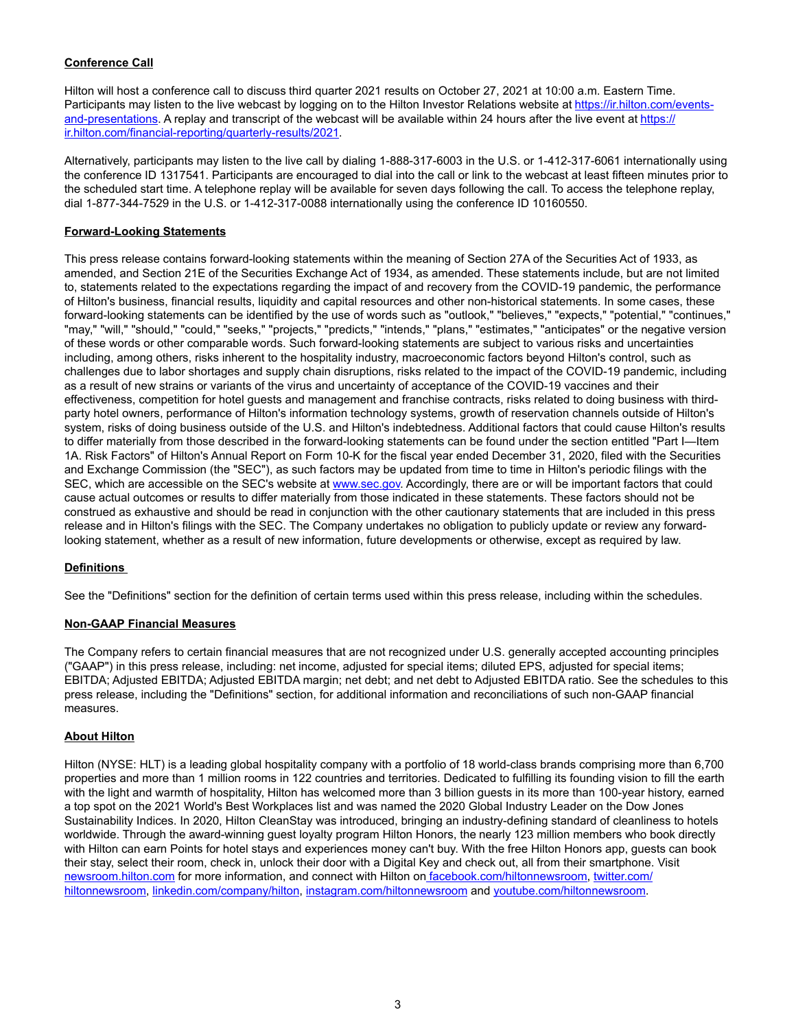## **Conference Call**

Hilton will host a conference call to discuss third quarter 2021 results on October 27, 2021 at 10:00 a.m. Eastern Time. Participants may listen to the live webcast by logging on to the Hilton Investor Relations website at https://ir.hilton.com/eventsand-presentations. A replay and transcript of the webcast will be available within 24 hours after the live event at https:// ir.hilton.com/financial-reporting/quarterly-results/2021.

Alternatively, participants may listen to the live call by dialing 1-888-317-6003 in the U.S. or 1-412-317-6061 internationally using the conference ID 1317541. Participants are encouraged to dial into the call or link to the webcast at least fifteen minutes prior to the scheduled start time. A telephone replay will be available for seven days following the call. To access the telephone replay, dial 1-877-344-7529 in the U.S. or 1-412-317-0088 internationally using the conference ID 10160550.

## **Forward-Looking Statements**

This press release contains forward-looking statements within the meaning of Section 27A of the Securities Act of 1933, as amended, and Section 21E of the Securities Exchange Act of 1934, as amended. These statements include, but are not limited to, statements related to the expectations regarding the impact of and recovery from the COVID-19 pandemic, the performance of Hilton's business, financial results, liquidity and capital resources and other non-historical statements. In some cases, these forward-looking statements can be identified by the use of words such as "outlook," "believes," "expects," "potential," "continues," "may," "will," "should," "could," "seeks," "projects," "predicts," "intends," "plans," "estimates," "anticipates" or the negative version of these words or other comparable words. Such forward-looking statements are subject to various risks and uncertainties including, among others, risks inherent to the hospitality industry, macroeconomic factors beyond Hilton's control, such as challenges due to labor shortages and supply chain disruptions, risks related to the impact of the COVID-19 pandemic, including as a result of new strains or variants of the virus and uncertainty of acceptance of the COVID-19 vaccines and their effectiveness, competition for hotel guests and management and franchise contracts, risks related to doing business with thirdparty hotel owners, performance of Hilton's information technology systems, growth of reservation channels outside of Hilton's system, risks of doing business outside of the U.S. and Hilton's indebtedness. Additional factors that could cause Hilton's results to differ materially from those described in the forward-looking statements can be found under the section entitled "Part I—Item 1A. Risk Factors" of Hilton's Annual Report on Form 10-K for the fiscal year ended December 31, 2020, filed with the Securities and Exchange Commission (the "SEC"), as such factors may be updated from time to time in Hilton's periodic filings with the SEC, which are accessible on the SEC's website at www.sec.gov. Accordingly, there are or will be important factors that could cause actual outcomes or results to differ materially from those indicated in these statements. These factors should not be construed as exhaustive and should be read in conjunction with the other cautionary statements that are included in this press release and in Hilton's filings with the SEC. The Company undertakes no obligation to publicly update or review any forwardlooking statement, whether as a result of new information, future developments or otherwise, except as required by law.

## **Definitions**

See the "Definitions" section for the definition of certain terms used within this press release, including within the schedules.

## **Non-GAAP Financial Measures**

The Company refers to certain financial measures that are not recognized under U.S. generally accepted accounting principles ("GAAP") in this press release, including: net income, adjusted for special items; diluted EPS, adjusted for special items; EBITDA; Adjusted EBITDA; Adjusted EBITDA margin; net debt; and net debt to Adjusted EBITDA ratio. See the schedules to this press release, including the "Definitions" section, for additional information and reconciliations of such non-GAAP financial measures.

## **About Hilton**

Hilton (NYSE: HLT) is a leading global hospitality company with a portfolio of 18 world-class brands comprising more than 6,700 properties and more than 1 million rooms in 122 countries and territories. Dedicated to fulfilling its founding vision to fill the earth with the light and warmth of hospitality, Hilton has welcomed more than 3 billion guests in its more than 100-year history, earned a top spot on the 2021 World's Best Workplaces list and was named the 2020 Global Industry Leader on the Dow Jones Sustainability Indices. In 2020, Hilton CleanStay was introduced, bringing an industry-defining standard of cleanliness to hotels worldwide. Through the award-winning guest loyalty program Hilton Honors, the nearly 123 million members who book directly with Hilton can earn Points for hotel stays and experiences money can't buy. With the free Hilton Honors app, guests can book their stay, select their room, check in, unlock their door with a Digital Key and check out, all from their smartphone. Visit newsroom.hilton.com for more information, and connect with Hilton on facebook.com/hiltonnewsroom, twitter.com/ hiltonnewsroom, linkedin.com/company/hilton, instagram.com/hiltonnewsroom and youtube.com/hiltonnewsroom.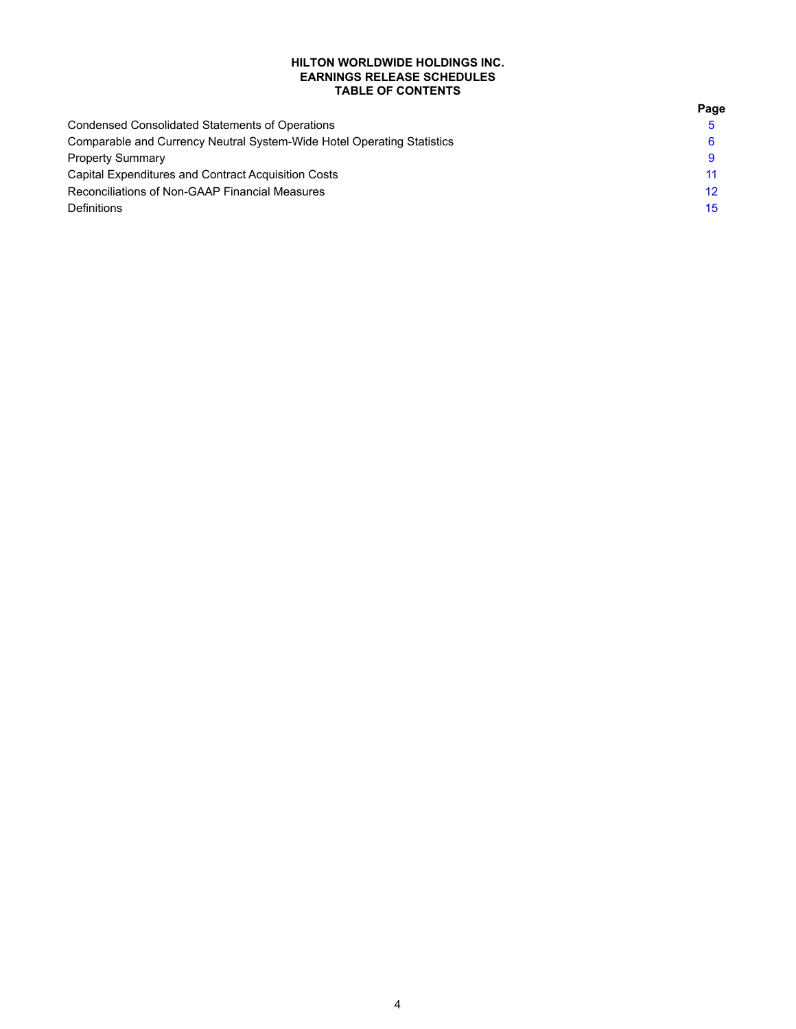## **HILTON WORLDWIDE HOLDINGS INC. EARNINGS RELEASE SCHEDULES TABLE OF CONTENTS**

|                                                                        | Page |
|------------------------------------------------------------------------|------|
| Condensed Consolidated Statements of Operations                        |      |
| Comparable and Currency Neutral System-Wide Hotel Operating Statistics |      |
| <b>Property Summary</b>                                                |      |
| Capital Expenditures and Contract Acquisition Costs                    |      |
| Reconciliations of Non-GAAP Financial Measures                         |      |
| Definitions                                                            | 15   |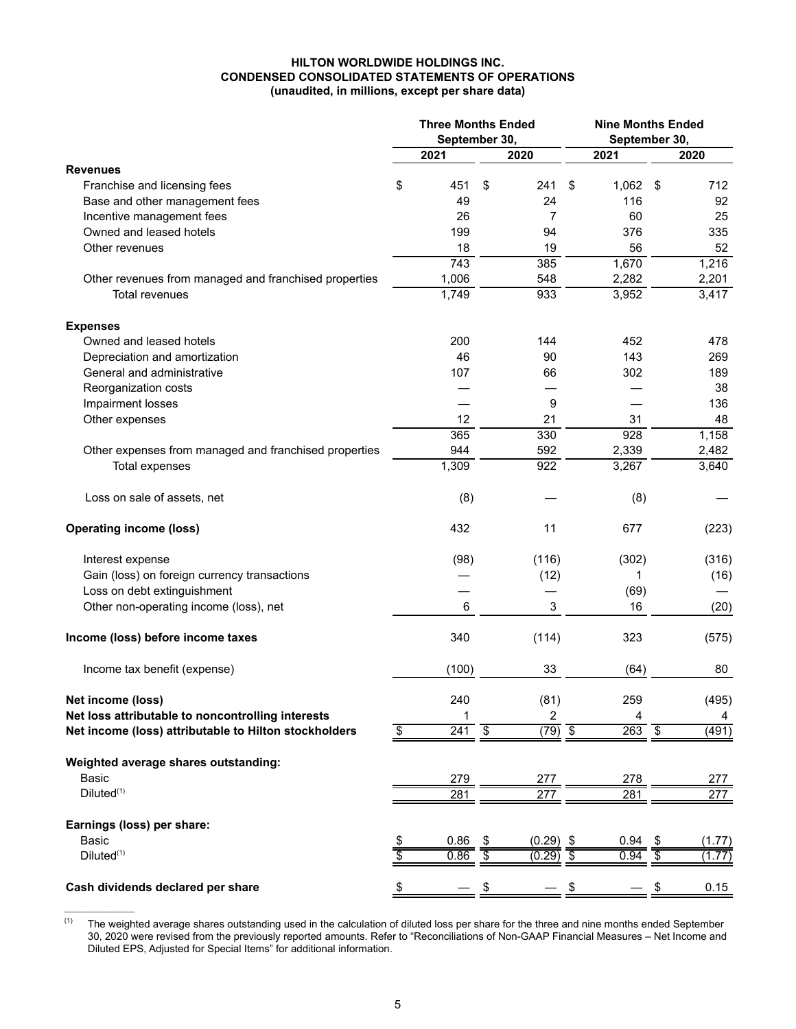## **HILTON WORLDWIDE HOLDINGS INC. CONDENSED CONSOLIDATED STATEMENTS OF OPERATIONS (unaudited, in millions, except per share data)**

<span id="page-4-0"></span>

|                                                                        | <b>Three Months Ended</b><br>September 30, |                  |                 |                          |                          | <b>Nine Months Ended</b><br>September 30, |                 |            |  |  |
|------------------------------------------------------------------------|--------------------------------------------|------------------|-----------------|--------------------------|--------------------------|-------------------------------------------|-----------------|------------|--|--|
|                                                                        |                                            | 2021             |                 | 2020                     |                          | 2021                                      |                 | 2020       |  |  |
| <b>Revenues</b>                                                        |                                            |                  |                 |                          |                          |                                           |                 |            |  |  |
| Franchise and licensing fees                                           | \$                                         | 451              | \$              | 241                      | \$                       | 1,062                                     | \$              | 712        |  |  |
| Base and other management fees                                         |                                            | 49               |                 | 24                       |                          | 116                                       |                 | 92         |  |  |
| Incentive management fees                                              |                                            | 26               |                 | 7                        |                          | 60                                        |                 | 25         |  |  |
| Owned and leased hotels                                                |                                            | 199              |                 | 94                       |                          | 376                                       |                 | 335        |  |  |
| Other revenues                                                         |                                            | 18               |                 | 19                       |                          | 56                                        |                 | 52         |  |  |
|                                                                        |                                            | 743              |                 | 385                      |                          | 1,670                                     |                 | 1,216      |  |  |
| Other revenues from managed and franchised properties                  |                                            | 1,006            |                 | 548                      |                          | 2,282                                     |                 | 2,201      |  |  |
| <b>Total revenues</b>                                                  |                                            | 1,749            |                 | 933                      |                          | 3,952                                     |                 | 3,417      |  |  |
| <b>Expenses</b>                                                        |                                            |                  |                 |                          |                          |                                           |                 |            |  |  |
| Owned and leased hotels                                                |                                            | 200              |                 | 144                      |                          | 452                                       |                 | 478        |  |  |
| Depreciation and amortization                                          |                                            | 46               |                 | 90                       |                          | 143                                       |                 | 269        |  |  |
| General and administrative                                             |                                            | 107              |                 | 66                       |                          | 302                                       |                 | 189        |  |  |
| Reorganization costs                                                   |                                            |                  |                 |                          |                          |                                           |                 | 38         |  |  |
| Impairment losses                                                      |                                            |                  |                 | 9                        |                          |                                           |                 | 136        |  |  |
| Other expenses                                                         |                                            | 12               |                 | 21                       |                          | 31                                        |                 | 48         |  |  |
|                                                                        |                                            | 365              |                 | 330                      |                          | 928                                       |                 | 1,158      |  |  |
| Other expenses from managed and franchised properties                  |                                            | 944              |                 | 592                      |                          | 2,339                                     |                 | 2,482      |  |  |
| <b>Total expenses</b>                                                  |                                            | 1,309            |                 | $\overline{922}$         |                          | 3,267                                     |                 | 3,640      |  |  |
| Loss on sale of assets, net                                            |                                            | (8)              |                 |                          |                          | (8)                                       |                 |            |  |  |
| <b>Operating income (loss)</b>                                         |                                            | 432              |                 | 11                       |                          | 677                                       |                 | (223)      |  |  |
| Interest expense                                                       |                                            | (98)             |                 | (116)                    |                          | (302)                                     |                 | (316)      |  |  |
| Gain (loss) on foreign currency transactions                           |                                            |                  |                 | (12)                     |                          | 1                                         |                 | (16)       |  |  |
| Loss on debt extinguishment                                            |                                            |                  |                 |                          |                          | (69)                                      |                 |            |  |  |
| Other non-operating income (loss), net                                 |                                            | 6                |                 | 3                        |                          | 16                                        |                 | (20)       |  |  |
| Income (loss) before income taxes                                      |                                            | 340              |                 | (114)                    |                          | 323                                       |                 | (575)      |  |  |
| Income tax benefit (expense)                                           |                                            | (100)            |                 | 33                       |                          | (64)                                      |                 | 80         |  |  |
| Net income (loss)<br>Net loss attributable to noncontrolling interests |                                            | 240<br>1         |                 | (81)<br>$\boldsymbol{2}$ |                          | 259<br>4                                  |                 | (495)<br>4 |  |  |
| Net income (loss) attributable to Hilton stockholders                  | $\frac{1}{2}$                              | $\overline{241}$ | $\overline{\$}$ | $\overline{(79)}$ \$     |                          | $\overline{263}$                          | $\overline{\$}$ | (491)      |  |  |
|                                                                        |                                            |                  |                 |                          |                          |                                           |                 |            |  |  |
| Weighted average shares outstanding:                                   |                                            |                  |                 |                          |                          |                                           |                 |            |  |  |
| <b>Basic</b>                                                           |                                            | 279              |                 | 277                      |                          | 278                                       |                 | 277        |  |  |
| Diluted <sup>(1)</sup>                                                 |                                            | 281              |                 | 277                      |                          | 281                                       |                 | 277        |  |  |
| Earnings (loss) per share:                                             |                                            |                  |                 |                          |                          |                                           |                 |            |  |  |
| <b>Basic</b>                                                           | \$                                         | 0.86             | \$              | $(0.29)$ \$              |                          | 0.94                                      | \$              | (1.77)     |  |  |
| Diluted <sup>(1)</sup>                                                 |                                            | 0.86             | ड               | (0.29)                   | $\overline{\mathcal{S}}$ | 0.94                                      |                 | (1.77)     |  |  |
| Cash dividends declared per share                                      | \$                                         |                  | \$              |                          | \$                       |                                           | \$              | 0.15       |  |  |

<sup>(1)</sup> The weighted average shares outstanding used in the calculation of diluted loss per share for the three and nine months ended September 30, 2020 were revised from the previously reported amounts. Refer to "Reconciliations of Non-GAAP Financial Measures – Net Income and Diluted EPS, Adjusted for Special Items" for additional information.

 $\frac{1}{2}$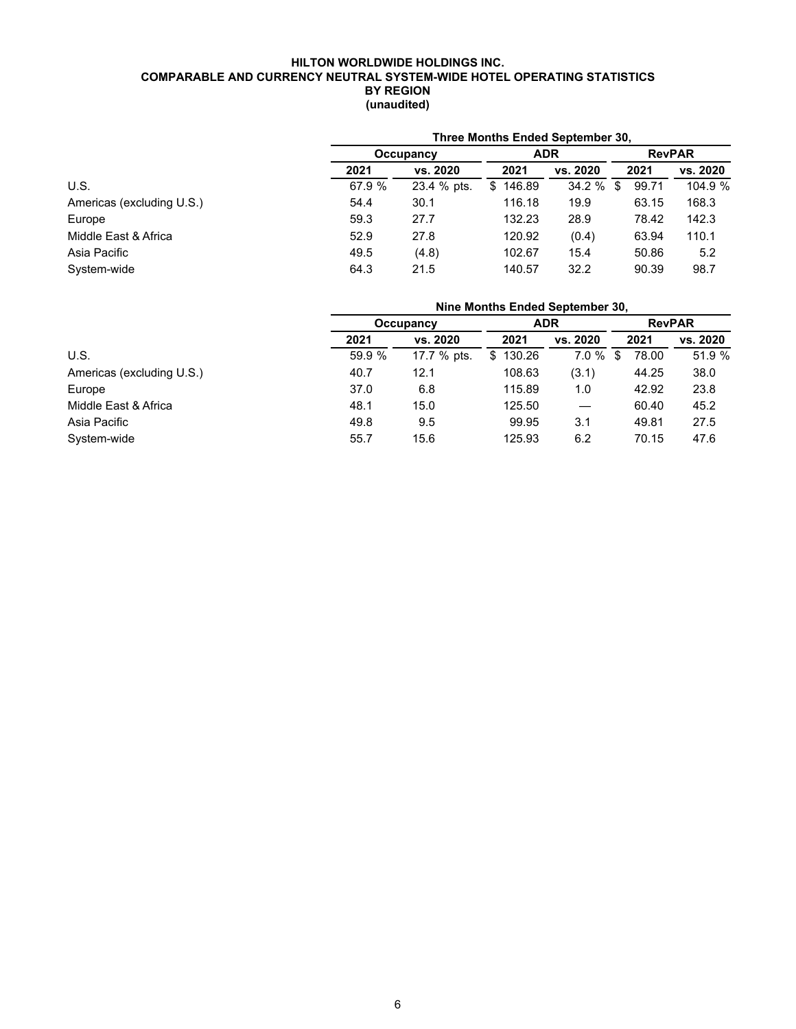## **HILTON WORLDWIDE HOLDINGS INC. COMPARABLE AND CURRENCY NEUTRAL SYSTEM-WIDE HOTEL OPERATING STATISTICS BY REGION (unaudited)**

<span id="page-5-0"></span>

|                           | Three Months Ended September 30, |             |          |            |               |          |  |  |  |  |
|---------------------------|----------------------------------|-------------|----------|------------|---------------|----------|--|--|--|--|
|                           | Occupancy                        |             |          | <b>ADR</b> | <b>RevPAR</b> |          |  |  |  |  |
|                           | 2021                             | vs. 2020    | 2021     | vs. 2020   | 2021          | vs. 2020 |  |  |  |  |
| U.S.                      | 67.9 %                           | 23.4 % pts. | \$146.89 | 34.2 %     | 99.71<br>S.   | 104.9 %  |  |  |  |  |
| Americas (excluding U.S.) | 54.4                             | 30.1        | 116.18   | 19.9       | 63.15         | 168.3    |  |  |  |  |
| Europe                    | 59.3                             | 27.7        | 132.23   | 28.9       | 78.42         | 142.3    |  |  |  |  |
| Middle East & Africa      | 52.9                             | 27.8        | 120.92   | (0.4)      | 63.94         | 110.1    |  |  |  |  |
| Asia Pacific              | 49.5                             | (4.8)       | 102.67   | 15.4       | 50.86         | 5.2      |  |  |  |  |
| System-wide               | 64.3                             | 21.5        | 140.57   | 32.2       | 90.39         | 98.7     |  |  |  |  |

|                           | Nine Months Ended September 30, |             |          |            |               |          |  |  |  |  |
|---------------------------|---------------------------------|-------------|----------|------------|---------------|----------|--|--|--|--|
|                           | Occupancy                       |             |          | <b>ADR</b> | <b>RevPAR</b> |          |  |  |  |  |
|                           | 2021                            | vs. 2020    | 2021     | vs. 2020   | 2021          | vs. 2020 |  |  |  |  |
| U.S.                      | 59.9 %                          | 17.7 % pts. | \$130.26 | 7.0 %      | 78.00<br>S    | 51.9 %   |  |  |  |  |
| Americas (excluding U.S.) | 40.7                            | 12.1        | 108.63   | (3.1)      | 44.25         | 38.0     |  |  |  |  |
| Europe                    | 37.0                            | 6.8         | 115.89   | 1.0        | 42.92         | 23.8     |  |  |  |  |
| Middle East & Africa      | 48.1                            | 15.0        | 125.50   |            | 60.40         | 45.2     |  |  |  |  |
| Asia Pacific              | 49.8                            | 9.5         | 99.95    | 3.1        | 49.81         | 27.5     |  |  |  |  |
| System-wide               | 55.7                            | 15.6        | 125.93   | 6.2        | 70.15         | 47.6     |  |  |  |  |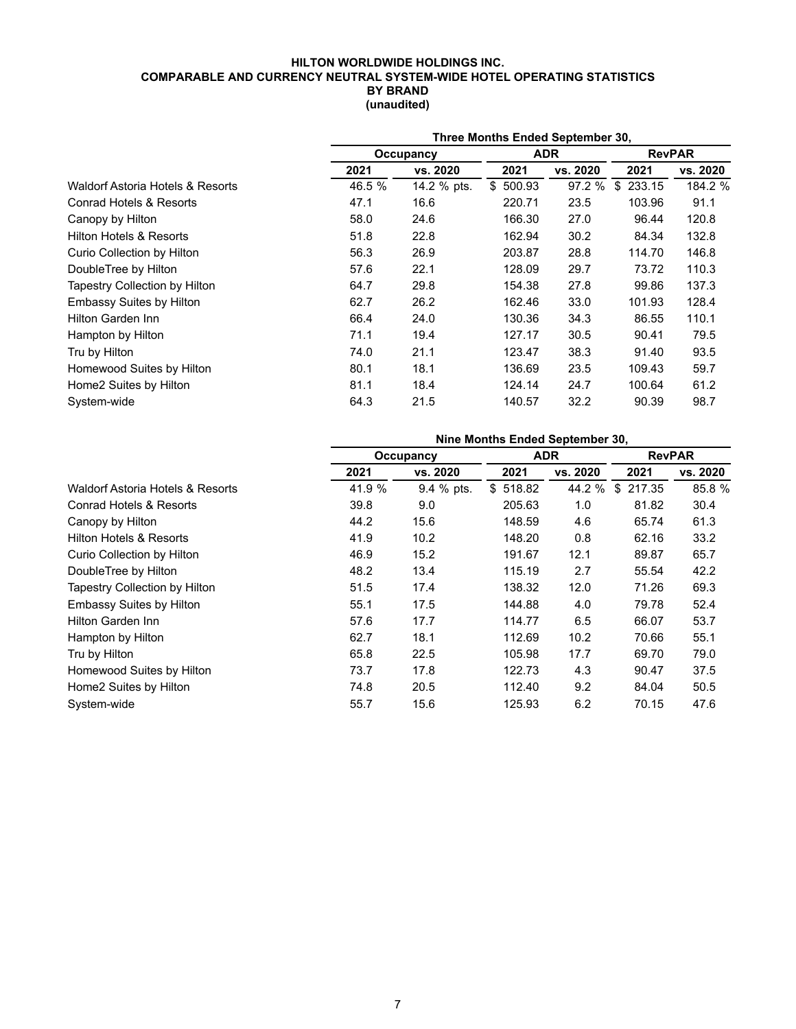## **HILTON WORLDWIDE HOLDINGS INC. COMPARABLE AND CURRENCY NEUTRAL SYSTEM-WIDE HOTEL OPERATING STATISTICS BY BRAND (unaudited)**

|                                      | Three Months Ended September 30, |             |            |          |               |          |  |  |  |  |
|--------------------------------------|----------------------------------|-------------|------------|----------|---------------|----------|--|--|--|--|
|                                      |                                  | Occupancy   | <b>ADR</b> |          | <b>RevPAR</b> |          |  |  |  |  |
|                                      | 2021                             | vs. 2020    | 2021       | vs. 2020 | 2021          | vs. 2020 |  |  |  |  |
| Waldorf Astoria Hotels & Resorts     | 46.5 %                           | 14.2 % pts. | \$500.93   | 97.2 %   | \$233.15      | 184.2 %  |  |  |  |  |
| Conrad Hotels & Resorts              | 47.1                             | 16.6        | 220.71     | 23.5     | 103.96        | 91.1     |  |  |  |  |
| Canopy by Hilton                     | 58.0                             | 24.6        | 166.30     | 27.0     | 96.44         | 120.8    |  |  |  |  |
| <b>Hilton Hotels &amp; Resorts</b>   | 51.8                             | 22.8        | 162.94     | 30.2     | 84.34         | 132.8    |  |  |  |  |
| Curio Collection by Hilton           | 56.3                             | 26.9        | 203.87     | 28.8     | 114.70        | 146.8    |  |  |  |  |
| DoubleTree by Hilton                 | 57.6                             | 22.1        | 128.09     | 29.7     | 73.72         | 110.3    |  |  |  |  |
| <b>Tapestry Collection by Hilton</b> | 64.7                             | 29.8        | 154.38     | 27.8     | 99.86         | 137.3    |  |  |  |  |
| <b>Embassy Suites by Hilton</b>      | 62.7                             | 26.2        | 162.46     | 33.0     | 101.93        | 128.4    |  |  |  |  |
| Hilton Garden Inn                    | 66.4                             | 24.0        | 130.36     | 34.3     | 86.55         | 110.1    |  |  |  |  |
| Hampton by Hilton                    | 71.1                             | 19.4        | 127.17     | 30.5     | 90.41         | 79.5     |  |  |  |  |
| Tru by Hilton                        | 74.0                             | 21.1        | 123.47     | 38.3     | 91.40         | 93.5     |  |  |  |  |
| Homewood Suites by Hilton            | 80.1                             | 18.1        | 136.69     | 23.5     | 109.43        | 59.7     |  |  |  |  |
| Home2 Suites by Hilton               | 81.1                             | 18.4        | 124.14     | 24.7     | 100.64        | 61.2     |  |  |  |  |
| System-wide                          | 64.3                             | 21.5        | 140.57     | 32.2     | 90.39         | 98.7     |  |  |  |  |

|                                      |        |            | Nine Months Ended September 30, |            |               |          |  |
|--------------------------------------|--------|------------|---------------------------------|------------|---------------|----------|--|
|                                      |        | Occupancy  |                                 | <b>ADR</b> | <b>RevPAR</b> |          |  |
|                                      | 2021   | vs. 2020   | 2021                            | vs. 2020   | 2021          | vs. 2020 |  |
| Waldorf Astoria Hotels & Resorts     | 41.9 % | 9.4 % pts. | \$518.82                        | 44.2 %     | \$217.35      | 85.8 %   |  |
| Conrad Hotels & Resorts              | 39.8   | 9.0        | 205.63                          | 1.0        | 81.82         | 30.4     |  |
| Canopy by Hilton                     | 44.2   | 15.6       | 148.59                          | 4.6        | 65.74         | 61.3     |  |
| <b>Hilton Hotels &amp; Resorts</b>   | 41.9   | 10.2       | 148.20                          | 0.8        | 62.16         | 33.2     |  |
| Curio Collection by Hilton           | 46.9   | 15.2       | 191.67                          | 12.1       | 89.87         | 65.7     |  |
| DoubleTree by Hilton                 | 48.2   | 13.4       | 115.19                          | 2.7        | 55.54         | 42.2     |  |
| <b>Tapestry Collection by Hilton</b> | 51.5   | 17.4       | 138.32                          | 12.0       | 71.26         | 69.3     |  |
| <b>Embassy Suites by Hilton</b>      | 55.1   | 17.5       | 144.88                          | 4.0        | 79.78         | 52.4     |  |
| Hilton Garden Inn                    | 57.6   | 17.7       | 114.77                          | 6.5        | 66.07         | 53.7     |  |
| Hampton by Hilton                    | 62.7   | 18.1       | 112.69                          | 10.2       | 70.66         | 55.1     |  |
| Tru by Hilton                        | 65.8   | 22.5       | 105.98                          | 17.7       | 69.70         | 79.0     |  |
| Homewood Suites by Hilton            | 73.7   | 17.8       | 122.73                          | 4.3        | 90.47         | 37.5     |  |
| Home2 Suites by Hilton               | 74.8   | 20.5       | 112.40                          | 9.2        | 84.04         | 50.5     |  |
| System-wide                          | 55.7   | 15.6       | 125.93                          | 6.2        | 70.15         | 47.6     |  |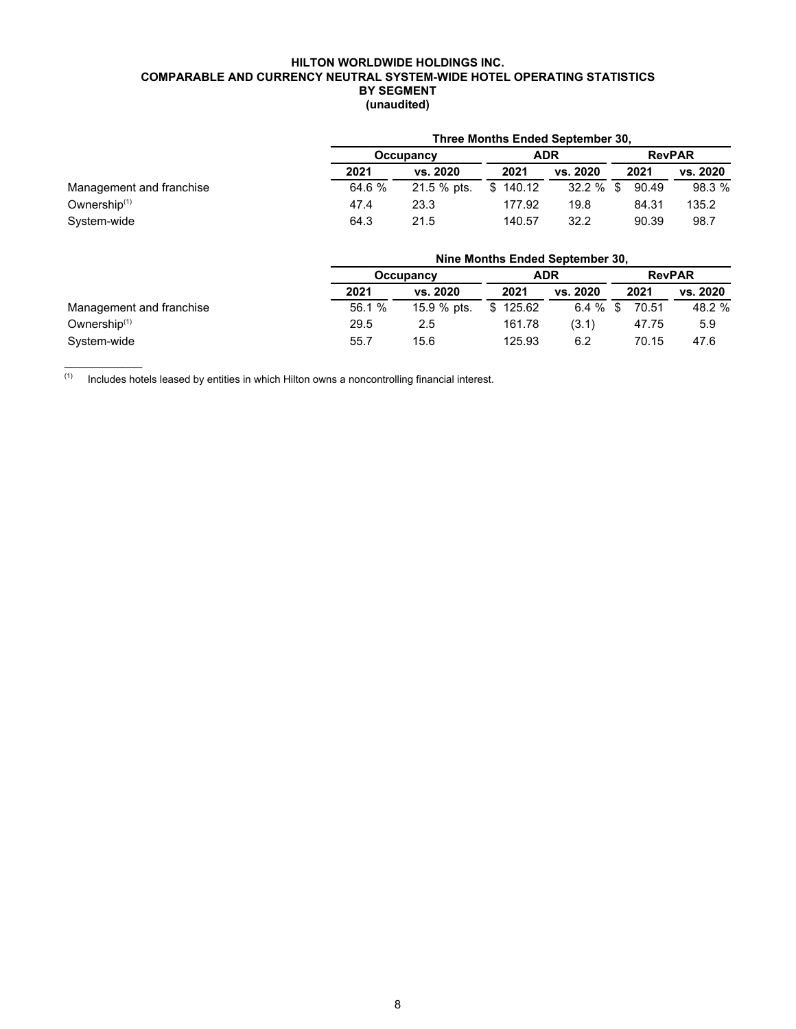## **HILTON WORLDWIDE HOLDINGS INC. COMPARABLE AND CURRENCY NEUTRAL SYSTEM-WIDE HOTEL OPERATING STATISTICS BY SEGMENT (unaudited)**

|                          | Three Months Ended September 30, |                |          |               |       |          |  |  |  |  |  |
|--------------------------|----------------------------------|----------------|----------|---------------|-------|----------|--|--|--|--|--|
|                          | Occupancy                        | <b>ADR</b>     |          | <b>RevPAR</b> |       |          |  |  |  |  |  |
|                          | 2021                             | vs. 2020       | 2021     | vs. 2020      | 2021  | vs. 2020 |  |  |  |  |  |
| Management and franchise | 64.6 %                           | $21.5 \%$ pts. | \$140.12 | $32.2 \%$ \$  | 90.49 | 98.3 %   |  |  |  |  |  |
| Ownership <sup>(1)</sup> | 47.4                             | 23.3           | 177.92   | 19.8          | 84.31 | 135.2    |  |  |  |  |  |
| System-wide              | 64.3                             | 21.5           | 140.57   | 32.2          | 90.39 | 98.7     |  |  |  |  |  |

|                          | Nine Months Ended September 30, |               |          |          |               |          |  |  |  |  |
|--------------------------|---------------------------------|---------------|----------|----------|---------------|----------|--|--|--|--|
|                          | Occupancy                       | <b>ADR</b>    |          |          | <b>RevPAR</b> |          |  |  |  |  |
|                          | 2021                            | vs. 2020      | 2021     | vs. 2020 | 2021          | vs. 2020 |  |  |  |  |
| Management and franchise | 56.1 %                          | 15.9 $%$ pts. | \$125.62 | 6.4 %    | \$<br>70.51   | 48.2 %   |  |  |  |  |
| Ownership $(1)$          | 29.5                            | 2.5           | 161.78   | (3.1)    | 47.75         | 5.9      |  |  |  |  |
| System-wide              | 55.7                            | 15.6          | 125.93   | 6.2      | 70.15         | 47.6     |  |  |  |  |

 $(1)$  Includes hotels leased by entities in which Hilton owns a noncontrolling financial interest.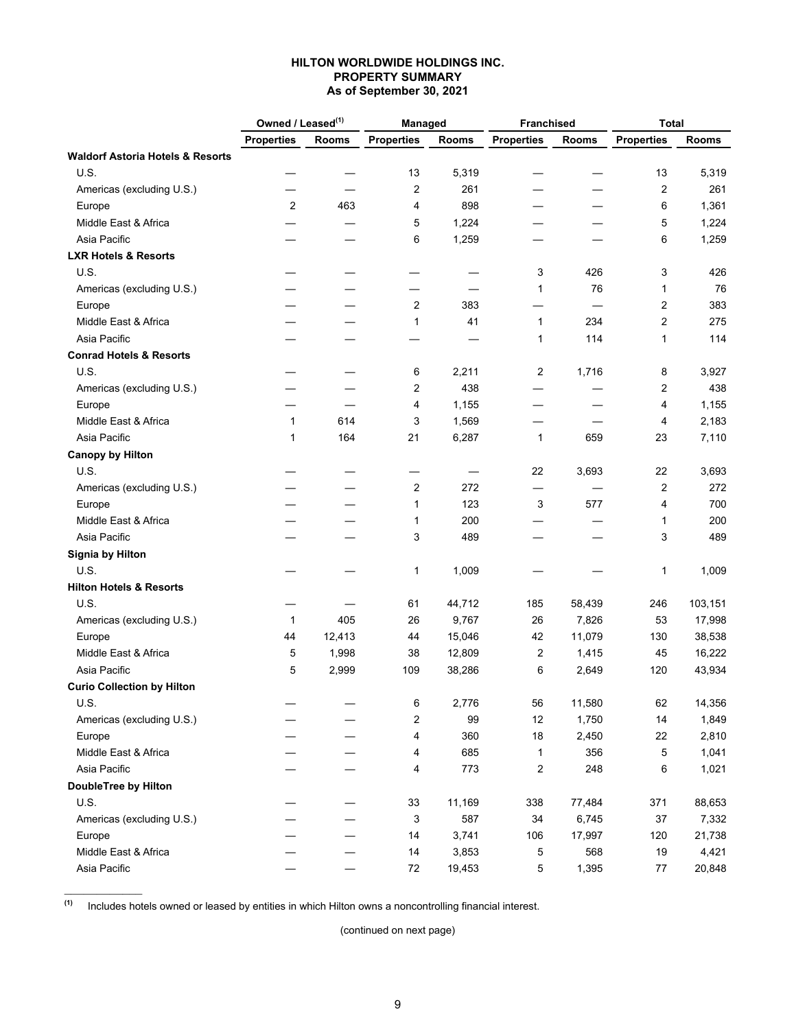## **HILTON WORLDWIDE HOLDINGS INC. PROPERTY SUMMARY As of September 30, 2021**

<span id="page-8-0"></span>

|                                             | Owned / Leased <sup>(1)</sup> |              | Managed           |              | Franchised        |                                   | <b>Total</b>      |              |
|---------------------------------------------|-------------------------------|--------------|-------------------|--------------|-------------------|-----------------------------------|-------------------|--------------|
|                                             | <b>Properties</b>             | <b>Rooms</b> | <b>Properties</b> | <b>Rooms</b> | <b>Properties</b> | <b>Rooms</b>                      | <b>Properties</b> | <b>Rooms</b> |
| <b>Waldorf Astoria Hotels &amp; Resorts</b> |                               |              |                   |              |                   |                                   |                   |              |
| U.S.                                        |                               |              | 13                | 5,319        |                   |                                   | 13                | 5,319        |
| Americas (excluding U.S.)                   |                               |              | 2                 | 261          |                   |                                   | 2                 | 261          |
| Europe                                      | 2                             | 463          | 4                 | 898          |                   |                                   | 6                 | 1,361        |
| Middle East & Africa                        |                               |              | 5                 | 1,224        |                   |                                   | 5                 | 1,224        |
| Asia Pacific                                |                               |              | 6                 | 1,259        |                   |                                   | 6                 | 1,259        |
| <b>LXR Hotels &amp; Resorts</b>             |                               |              |                   |              |                   |                                   |                   |              |
| U.S.                                        |                               |              |                   |              | 3                 | 426                               | 3                 | 426          |
| Americas (excluding U.S.)                   |                               |              |                   |              | 1                 | 76                                | 1                 | 76           |
| Europe                                      |                               |              | 2                 | 383          |                   | $\overbrace{\phantom{123221111}}$ | 2                 | 383          |
| Middle East & Africa                        |                               |              | 1                 | 41           | 1                 | 234                               | 2                 | 275          |
| Asia Pacific                                |                               |              |                   |              | 1                 | 114                               | 1                 | 114          |
| <b>Conrad Hotels &amp; Resorts</b>          |                               |              |                   |              |                   |                                   |                   |              |
| U.S.                                        |                               |              | 6                 | 2,211        | 2                 | 1,716                             | 8                 | 3,927        |
| Americas (excluding U.S.)                   |                               |              | 2                 | 438          |                   |                                   | 2                 | 438          |
| Europe                                      |                               |              | 4                 | 1,155        |                   |                                   | 4                 | 1,155        |
| Middle East & Africa                        | 1                             | 614          | 3                 | 1,569        |                   |                                   | 4                 | 2,183        |
| Asia Pacific                                | 1                             | 164          | 21                | 6,287        | $\mathbf{1}$      | 659                               | 23                | 7,110        |
| <b>Canopy by Hilton</b>                     |                               |              |                   |              |                   |                                   |                   |              |
| U.S.                                        |                               |              |                   |              | 22                | 3,693                             | 22                | 3,693        |
| Americas (excluding U.S.)                   |                               |              | 2                 | 272          |                   |                                   | 2                 | 272          |
| Europe                                      |                               |              | 1                 | 123          | 3                 | 577                               | 4                 | 700          |
| Middle East & Africa                        |                               |              | 1                 | 200          |                   |                                   | 1                 | 200          |
| Asia Pacific                                |                               |              | 3                 | 489          |                   |                                   | 3                 | 489          |
| Signia by Hilton                            |                               |              |                   |              |                   |                                   |                   |              |
| U.S.                                        |                               |              | 1                 | 1,009        |                   |                                   | 1                 | 1,009        |
| <b>Hilton Hotels &amp; Resorts</b>          |                               |              |                   |              |                   |                                   |                   |              |
| U.S.                                        |                               |              | 61                | 44,712       | 185               | 58,439                            | 246               | 103,151      |
| Americas (excluding U.S.)                   | 1                             | 405          | 26                | 9,767        | 26                | 7,826                             | 53                | 17,998       |
| Europe                                      | 44                            | 12,413       | 44                | 15,046       | 42                | 11,079                            | 130               | 38,538       |
| Middle East & Africa                        | 5                             | 1,998        | 38                | 12,809       | 2                 | 1,415                             | 45                | 16,222       |
| Asia Pacific                                | 5                             | 2,999        | 109               | 38,286       | 6                 | 2,649                             | 120               | 43,934       |
| <b>Curio Collection by Hilton</b>           |                               |              |                   |              |                   |                                   |                   |              |
| U.S.                                        |                               |              | 6                 | 2,776        | 56                | 11,580                            | 62                | 14,356       |
| Americas (excluding U.S.)                   |                               |              | 2                 | 99           | 12                | 1,750                             | 14                | 1,849        |
| Europe                                      |                               |              | 4                 | 360          | 18                | 2,450                             | 22                | 2,810        |
| Middle East & Africa                        |                               |              | 4                 | 685          | $\mathbf{1}$      | 356                               | 5                 | 1,041        |
| Asia Pacific                                |                               |              | 4                 | 773          | 2                 | 248                               | 6                 | 1,021        |
| <b>DoubleTree by Hilton</b>                 |                               |              |                   |              |                   |                                   |                   |              |
| U.S.                                        |                               |              | 33                | 11,169       | 338               | 77,484                            | 371               | 88,653       |
| Americas (excluding U.S.)                   |                               |              | 3                 | 587          | 34                | 6,745                             | 37                | 7,332        |
| Europe                                      |                               |              | 14                | 3,741        | 106               | 17,997                            | 120               | 21,738       |
| Middle East & Africa                        |                               |              | 14                | 3,853        | 5                 | 568                               | 19                | 4,421        |
| Asia Pacific                                |                               |              | 72                | 19,453       | 5                 | 1,395                             | 77                | 20,848       |

**(1)** Includes hotels owned or leased by entities in which Hilton owns a noncontrolling financial interest.

(continued on next page)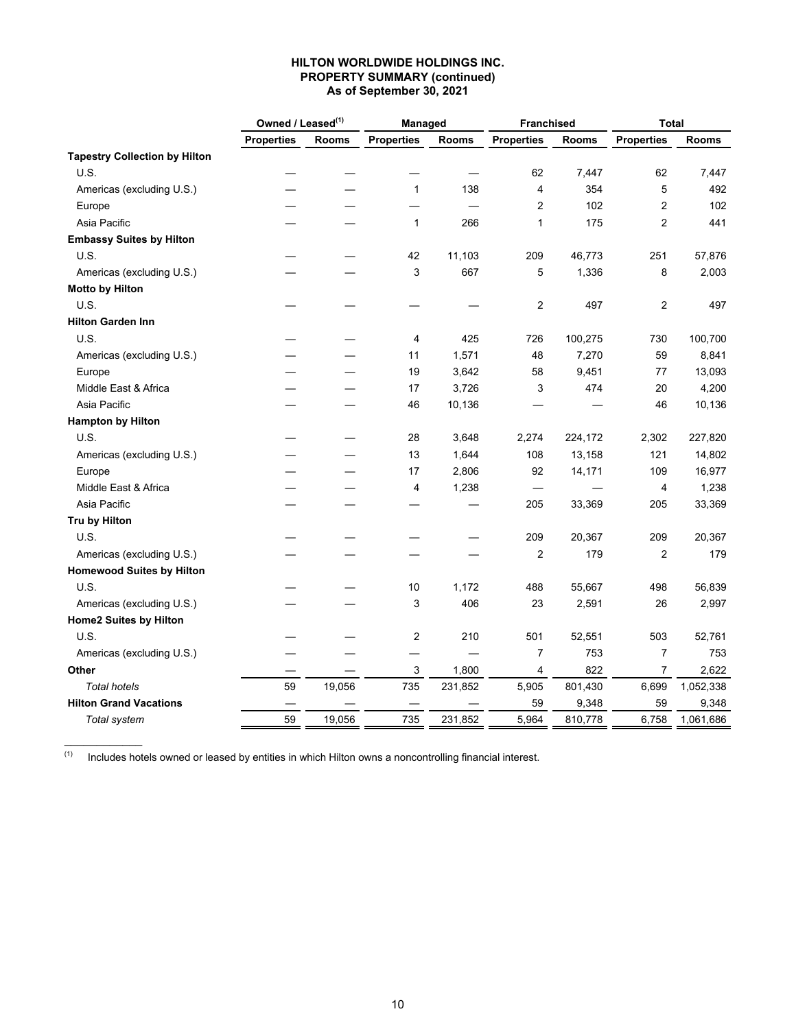## **HILTON WORLDWIDE HOLDINGS INC. PROPERTY SUMMARY (continued) As of September 30, 2021**

|                                      | Owned / Leased <sup>(1)</sup> |              | Managed           |              | <b>Franchised</b> |              | <b>Total</b>      |              |
|--------------------------------------|-------------------------------|--------------|-------------------|--------------|-------------------|--------------|-------------------|--------------|
|                                      | <b>Properties</b>             | <b>Rooms</b> | <b>Properties</b> | <b>Rooms</b> | <b>Properties</b> | <b>Rooms</b> | <b>Properties</b> | <b>Rooms</b> |
| <b>Tapestry Collection by Hilton</b> |                               |              |                   |              |                   |              |                   |              |
| U.S.                                 |                               |              |                   |              | 62                | 7,447        | 62                | 7,447        |
| Americas (excluding U.S.)            |                               |              | $\mathbf{1}$      | 138          | 4                 | 354          | 5                 | 492          |
| Europe                               |                               |              |                   |              | $\overline{2}$    | 102          | $\overline{2}$    | 102          |
| Asia Pacific                         |                               |              | $\mathbf{1}$      | 266          | $\mathbf{1}$      | 175          | $\overline{2}$    | 441          |
| <b>Embassy Suites by Hilton</b>      |                               |              |                   |              |                   |              |                   |              |
| U.S.                                 |                               |              | 42                | 11,103       | 209               | 46,773       | 251               | 57,876       |
| Americas (excluding U.S.)            |                               |              | 3                 | 667          | 5                 | 1,336        | 8                 | 2,003        |
| <b>Motto by Hilton</b>               |                               |              |                   |              |                   |              |                   |              |
| U.S.                                 |                               |              |                   |              | $\overline{2}$    | 497          | $\overline{2}$    | 497          |
| <b>Hilton Garden Inn</b>             |                               |              |                   |              |                   |              |                   |              |
| U.S.                                 |                               |              | 4                 | 425          | 726               | 100,275      | 730               | 100,700      |
| Americas (excluding U.S.)            |                               |              | 11                | 1,571        | 48                | 7,270        | 59                | 8,841        |
| Europe                               |                               |              | 19                | 3,642        | 58                | 9,451        | 77                | 13,093       |
| Middle East & Africa                 |                               |              | 17                | 3,726        | 3                 | 474          | 20                | 4,200        |
| Asia Pacific                         |                               |              | 46                | 10,136       |                   |              | 46                | 10,136       |
| <b>Hampton by Hilton</b>             |                               |              |                   |              |                   |              |                   |              |
| U.S.                                 |                               |              | 28                | 3,648        | 2,274             | 224,172      | 2,302             | 227,820      |
| Americas (excluding U.S.)            |                               |              | 13                | 1,644        | 108               | 13,158       | 121               | 14,802       |
| Europe                               |                               |              | 17                | 2,806        | 92                | 14,171       | 109               | 16,977       |
| Middle East & Africa                 |                               |              | 4                 | 1,238        |                   |              | 4                 | 1,238        |
| Asia Pacific                         |                               |              |                   |              | 205               | 33,369       | 205               | 33,369       |
| Tru by Hilton                        |                               |              |                   |              |                   |              |                   |              |
| U.S.                                 |                               |              |                   |              | 209               | 20,367       | 209               | 20,367       |
| Americas (excluding U.S.)            |                               |              |                   |              | 2                 | 179          | $\overline{2}$    | 179          |
| <b>Homewood Suites by Hilton</b>     |                               |              |                   |              |                   |              |                   |              |
| U.S.                                 |                               |              | 10                | 1,172        | 488               | 55,667       | 498               | 56,839       |
| Americas (excluding U.S.)            |                               |              | 3                 | 406          | 23                | 2,591        | 26                | 2,997        |
| <b>Home2 Suites by Hilton</b>        |                               |              |                   |              |                   |              |                   |              |
| U.S.                                 |                               |              | 2                 | 210          | 501               | 52,551       | 503               | 52,761       |
| Americas (excluding U.S.)            |                               |              |                   |              | 7                 | 753          | $\overline{7}$    | 753          |
| Other                                |                               |              | 3                 | 1,800        | 4                 | 822          | 7                 | 2,622        |
| <b>Total hotels</b>                  | 59                            | 19,056       | 735               | 231,852      | 5,905             | 801,430      | 6,699             | 1,052,338    |
| <b>Hilton Grand Vacations</b>        |                               |              |                   |              | 59                | 9,348        | 59                | 9,348        |
| Total system                         | 59                            | 19,056       | 735               | 231,852      | 5,964             | 810,778      | 6,758             | 1,061,686    |

 $(1)$  Includes hotels owned or leased by entities in which Hilton owns a noncontrolling financial interest.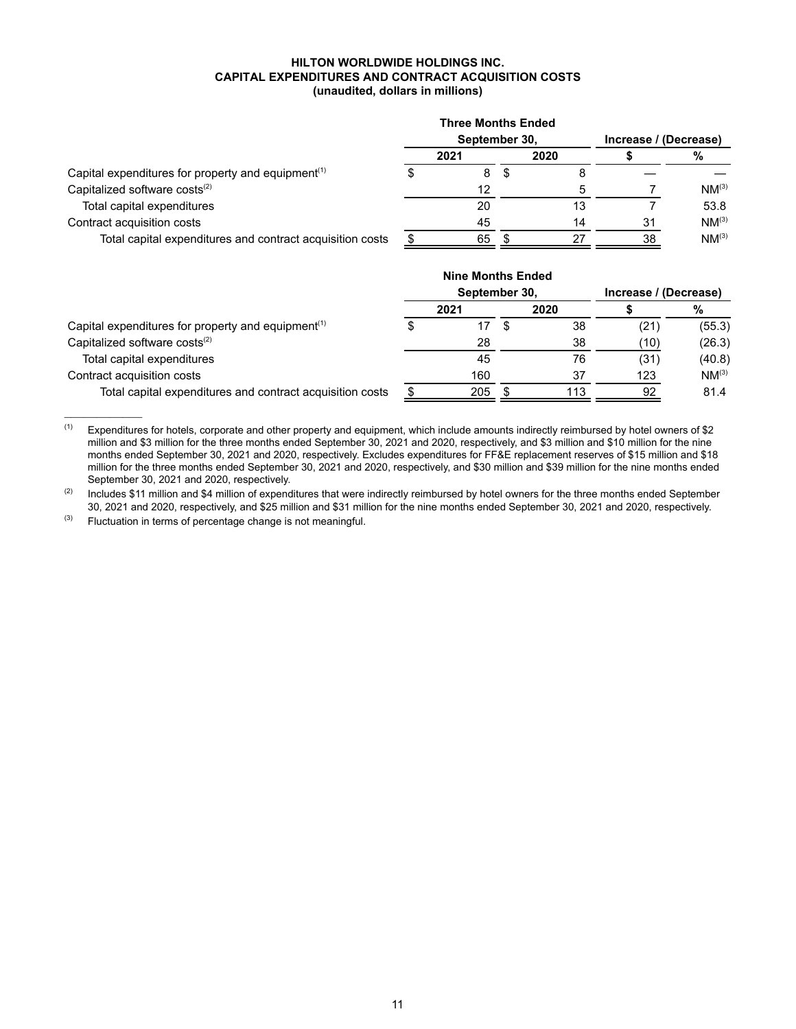### **HILTON WORLDWIDE HOLDINGS INC. CAPITAL EXPENDITURES AND CONTRACT ACQUISITION COSTS (unaudited, dollars in millions)**

<span id="page-10-0"></span>

|                                                                             | <b>Three Months Ended</b> |      |                       |            |  |
|-----------------------------------------------------------------------------|---------------------------|------|-----------------------|------------|--|
|                                                                             | September 30,             |      | Increase / (Decrease) |            |  |
|                                                                             | 2021                      | 2020 |                       | %          |  |
| Capital expenditures for property and equipment <sup><math>(1)</math></sup> | 8                         |      |                       |            |  |
| Capitalized software costs <sup>(2)</sup>                                   | 12                        |      |                       | $NM^{(3)}$ |  |
| Total capital expenditures                                                  | 20                        | 13   |                       | 53.8       |  |
| Contract acquisition costs                                                  | 45                        | 14   | 31                    | $NM^{(3)}$ |  |
| Total capital expenditures and contract acquisition costs                   | 65                        |      | 38                    | $NM^{(3)}$ |  |

|                                                                | <b>Nine Months Ended</b><br>September 30, |  | Increase / (Decrease) |      |            |  |
|----------------------------------------------------------------|-------------------------------------------|--|-----------------------|------|------------|--|
|                                                                | 2021                                      |  | 2020                  |      | %          |  |
| Capital expenditures for property and equipment <sup>(1)</sup> | 17                                        |  | 38                    | (21) | (55.3)     |  |
| Capitalized software costs $(2)$                               | 28                                        |  | 38                    | (10) | (26.3)     |  |
| Total capital expenditures                                     | 45                                        |  | 76                    | (31) | (40.8)     |  |
| Contract acquisition costs                                     | 160                                       |  | 37                    | 123  | $NM^{(3)}$ |  |
| Total capital expenditures and contract acquisition costs      | 205                                       |  | 113                   | 92   | 81.4       |  |

 $(1)$  Expenditures for hotels, corporate and other property and equipment, which include amounts indirectly reimbursed by hotel owners of \$2 million and \$3 million for the three months ended September 30, 2021 and 2020, respectively, and \$3 million and \$10 million for the nine months ended September 30, 2021 and 2020, respectively. Excludes expenditures for FF&E replacement reserves of \$15 million and \$18 million for the three months ended September 30, 2021 and 2020, respectively, and \$30 million and \$39 million for the nine months ended September 30, 2021 and 2020, respectively.

(2) Includes \$11 million and \$4 million of expenditures that were indirectly reimbursed by hotel owners for the three months ended September 30, 2021 and 2020, respectively, and \$25 million and \$31 million for the nine months ended September 30, 2021 and 2020, respectively.  $(3)$  Fluctuation in terms of percentage change is not meaningful.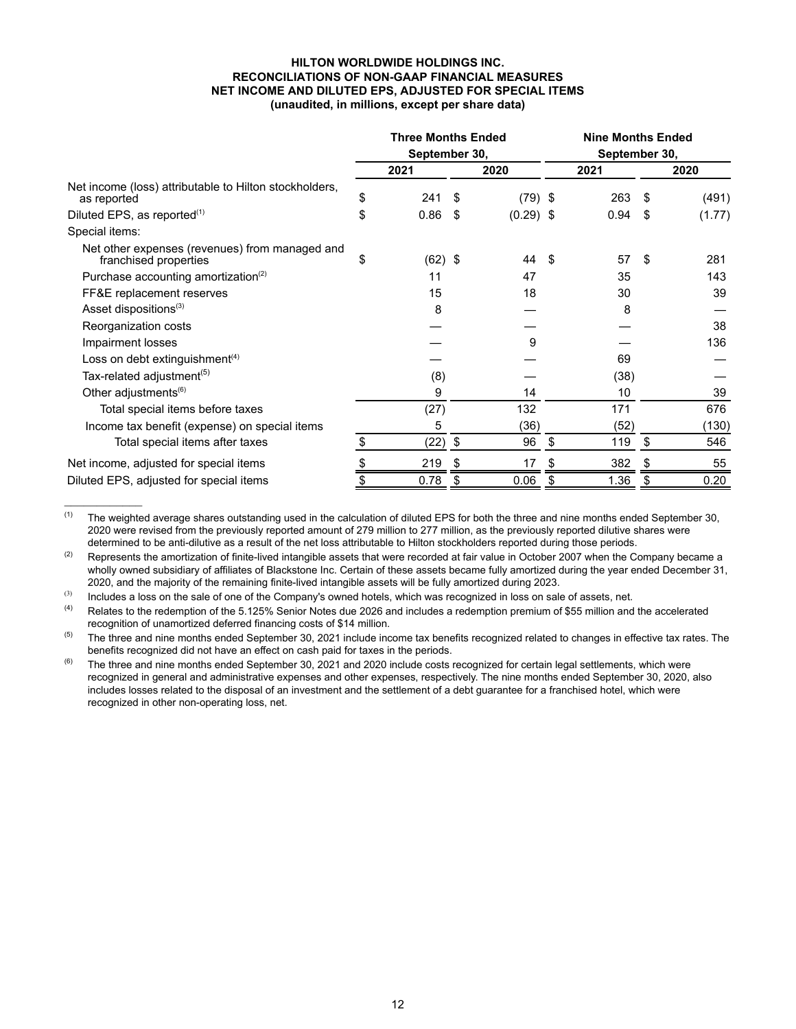#### **HILTON WORLDWIDE HOLDINGS INC. RECONCILIATIONS OF NON-GAAP FINANCIAL MEASURES NET INCOME AND DILUTED EPS, ADJUSTED FOR SPECIAL ITEMS (unaudited, in millions, except per share data)**

<span id="page-11-0"></span>

|                                                                         | <b>Three Months Ended</b><br>September 30, |           |    |             |     | <b>Nine Months Ended</b><br>September 30, |     |        |  |
|-------------------------------------------------------------------------|--------------------------------------------|-----------|----|-------------|-----|-------------------------------------------|-----|--------|--|
|                                                                         |                                            | 2021      |    | 2020        |     | 2021                                      |     | 2020   |  |
| Net income (loss) attributable to Hilton stockholders,<br>as reported   | \$                                         | 241       | S  | $(79)$ \$   |     | 263                                       | -\$ | (491)  |  |
| Diluted EPS, as reported <sup>(1)</sup>                                 | \$                                         | 0.86      | \$ | $(0.29)$ \$ |     | 0.94                                      | \$  | (1.77) |  |
| Special items:                                                          |                                            |           |    |             |     |                                           |     |        |  |
| Net other expenses (revenues) from managed and<br>franchised properties | \$                                         | $(62)$ \$ |    | 44          | \$. | 57                                        | \$  | 281    |  |
| Purchase accounting amortization <sup>(2)</sup>                         |                                            | 11        |    | 47          |     | 35                                        |     | 143    |  |
| FF&E replacement reserves                                               |                                            | 15        |    | 18          |     | 30                                        |     | 39     |  |
| Asset dispositions <sup>(3)</sup>                                       |                                            | 8         |    |             |     | 8                                         |     |        |  |
| Reorganization costs                                                    |                                            |           |    |             |     |                                           |     | 38     |  |
| Impairment losses                                                       |                                            |           |    | 9           |     |                                           |     | 136    |  |
| Loss on debt extinguishment $(4)$                                       |                                            |           |    |             |     | 69                                        |     |        |  |
| Tax-related adjustment <sup>(5)</sup>                                   |                                            | (8)       |    |             |     | (38)                                      |     |        |  |
| Other adjustments $(6)$                                                 |                                            | 9         |    | 14          |     | 10                                        |     | 39     |  |
| Total special items before taxes                                        |                                            | (27)      |    | 132         |     | 171                                       |     | 676    |  |
| Income tax benefit (expense) on special items                           |                                            | 5         |    | (36)        |     | (52)                                      |     | (130)  |  |
| Total special items after taxes                                         | \$                                         | (22)      | \$ | 96          | \$  | 119                                       | \$  | 546    |  |
| Net income, adjusted for special items                                  |                                            | 219       | \$ | 17          | \$  | 382                                       | \$  | 55     |  |
| Diluted EPS, adjusted for special items                                 | \$                                         | 0.78      | \$ | 0.06        | \$  | 1.36                                      | \$  | 0.20   |  |

 $(1)$  The weighted average shares outstanding used in the calculation of diluted EPS for both the three and nine months ended September 30, 2020 were revised from the previously reported amount of 279 million to 277 million, as the previously reported dilutive shares were determined to be anti-dilutive as a result of the net loss attributable to Hilton stockholders reported during those periods.

<sup>(2)</sup> Represents the amortization of finite-lived intangible assets that were recorded at fair value in October 2007 when the Company became a wholly owned subsidiary of affiliates of Blackstone Inc. Certain of these assets became fully amortized during the year ended December 31, 2020, and the majority of the remaining finite-lived intangible assets will be fully amortized during 2023.

(3) Includes a loss on the sale of one of the Company's owned hotels, which was recognized in loss on sale of assets, net.<br>(4) Belates to the redemption of the 5.125% Sepier Notes due 2026 and includes a redemption promiu

 $\mathcal{L}=\mathcal{L}^{\mathcal{L}}$ 

Relates to the redemption of the 5.125% Senior Notes due 2026 and includes a redemption premium of \$55 million and the accelerated recognition of unamortized deferred financing costs of \$14 million.

<sup>(5)</sup> The three and nine months ended September 30, 2021 include income tax benefits recognized related to changes in effective tax rates. The benefits recognized did not have an effect on cash paid for taxes in the periods.

<sup>(6)</sup> The three and nine months ended September 30, 2021 and 2020 include costs recognized for certain legal settlements, which were recognized in general and administrative expenses and other expenses, respectively. The nine months ended September 30, 2020, also includes losses related to the disposal of an investment and the settlement of a debt guarantee for a franchised hotel, which were recognized in other non-operating loss, net.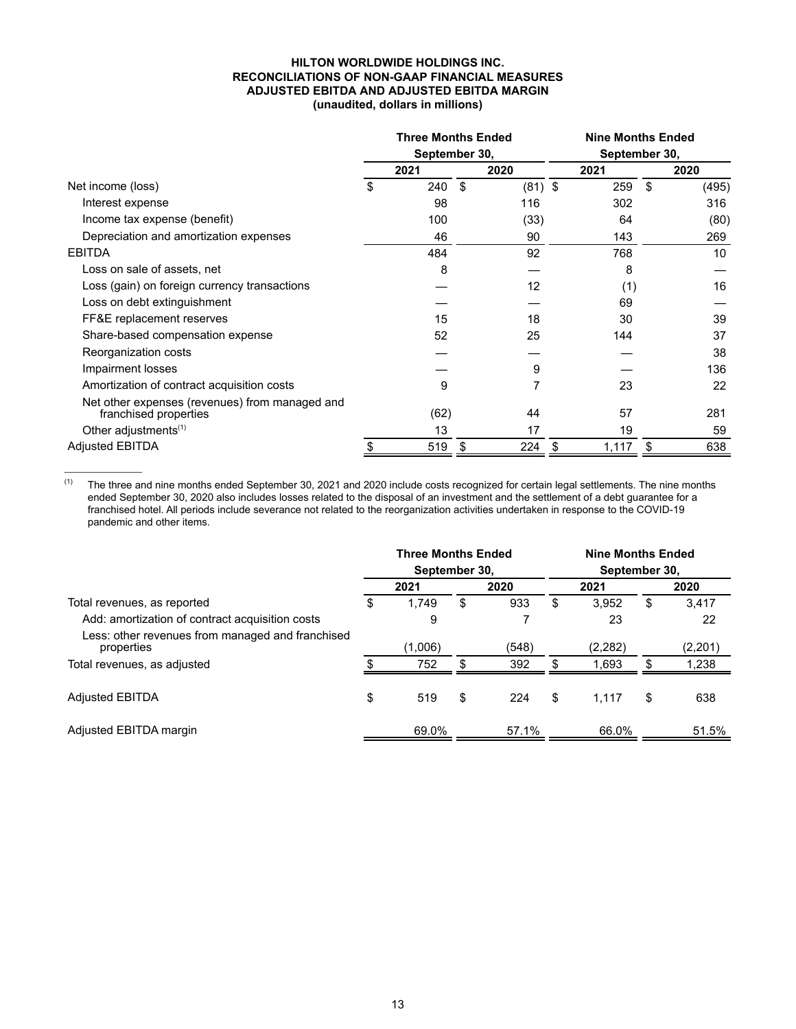#### **HILTON WORLDWIDE HOLDINGS INC. RECONCILIATIONS OF NON-GAAP FINANCIAL MEASURES ADJUSTED EBITDA AND ADJUSTED EBITDA MARGIN (unaudited, dollars in millions)**

|                                                                         | <b>Three Months Ended</b><br>September 30, |      |    |           | <b>Nine Months Ended</b> |               |    |                 |  |
|-------------------------------------------------------------------------|--------------------------------------------|------|----|-----------|--------------------------|---------------|----|-----------------|--|
|                                                                         |                                            |      |    |           |                          | September 30, |    |                 |  |
|                                                                         |                                            | 2021 |    | 2020      |                          | 2021          |    | 2020            |  |
| Net income (loss)                                                       |                                            | 240  | \$ | $(81)$ \$ |                          | 259           | \$ | (495)           |  |
| Interest expense                                                        |                                            | 98   |    | 116       |                          | 302           |    | 316             |  |
| Income tax expense (benefit)                                            |                                            | 100  |    | (33)      |                          | 64            |    | (80)            |  |
| Depreciation and amortization expenses                                  |                                            | 46   |    | 90        |                          | 143           |    | 269             |  |
| <b>EBITDA</b>                                                           |                                            | 484  |    | 92        |                          | 768           |    | 10 <sup>1</sup> |  |
| Loss on sale of assets, net                                             |                                            | 8    |    |           |                          | 8             |    |                 |  |
| Loss (gain) on foreign currency transactions                            |                                            |      |    | 12        |                          | (1)           |    | 16              |  |
| Loss on debt extinguishment                                             |                                            |      |    |           |                          | 69            |    |                 |  |
| FF&E replacement reserves                                               |                                            | 15   |    | 18        |                          | 30            |    | 39              |  |
| Share-based compensation expense                                        |                                            | 52   |    | 25        |                          | 144           |    | 37              |  |
| Reorganization costs                                                    |                                            |      |    |           |                          |               |    | 38              |  |
| Impairment losses                                                       |                                            |      |    | 9         |                          |               |    | 136             |  |
| Amortization of contract acquisition costs                              |                                            | 9    |    | 7         |                          | 23            |    | 22              |  |
| Net other expenses (revenues) from managed and<br>franchised properties |                                            | (62) |    | 44        |                          | 57            |    | 281             |  |
| Other adjustments <sup>(1)</sup>                                        |                                            | 13   |    | 17        |                          | 19            |    | 59              |  |
| <b>Adjusted EBITDA</b>                                                  |                                            | 519  | \$ | 224       | \$                       | 1,117         | \$ | 638             |  |

<sup>(1)</sup> The three and nine months ended September 30, 2021 and 2020 include costs recognized for certain legal settlements. The nine months ended September 30, 2020 also includes losses related to the disposal of an investment and the settlement of a debt guarantee for a franchised hotel. All periods include severance not related to the reorganization activities undertaken in response to the COVID-19 pandemic and other items.

 $\mathcal{L}=\mathcal{L}^{\mathcal{L}}$ 

|                                                                | <b>Three Months Ended</b><br>September 30, |         |    |       | <b>Nine Months Ended</b><br>September 30, |         |    |          |  |
|----------------------------------------------------------------|--------------------------------------------|---------|----|-------|-------------------------------------------|---------|----|----------|--|
|                                                                |                                            | 2021    |    | 2020  |                                           | 2021    |    | 2020     |  |
| Total revenues, as reported                                    | \$                                         | 1.749   | S  | 933   | S                                         | 3,952   | \$ | 3,417    |  |
| Add: amortization of contract acquisition costs                |                                            | 9       |    |       |                                           | 23      |    | 22       |  |
| Less: other revenues from managed and franchised<br>properties |                                            | (1,006) |    | (548) |                                           | (2,282) |    | (2, 201) |  |
| Total revenues, as adjusted                                    |                                            | 752     |    | 392   |                                           | 1,693   |    | 1,238    |  |
| <b>Adjusted EBITDA</b>                                         | \$                                         | 519     | \$ | 224   | \$                                        | 1.117   | \$ | 638      |  |
| Adjusted EBITDA margin                                         |                                            | 69.0%   |    | 57.1% |                                           | 66.0%   |    | 51.5%    |  |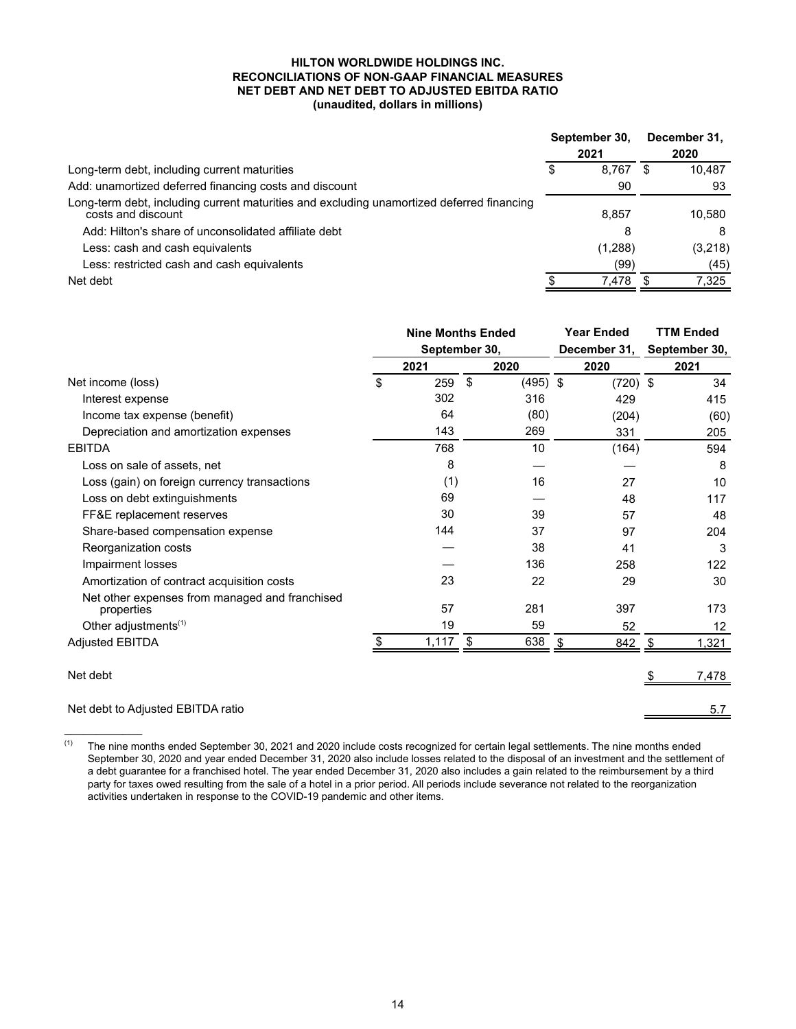#### **HILTON WORLDWIDE HOLDINGS INC. RECONCILIATIONS OF NON-GAAP FINANCIAL MEASURES NET DEBT AND NET DEBT TO ADJUSTED EBITDA RATIO (unaudited, dollars in millions)**

|                                                                                                                 | September 30, | December 31, |
|-----------------------------------------------------------------------------------------------------------------|---------------|--------------|
|                                                                                                                 | 2021          | 2020         |
| Long-term debt, including current maturities                                                                    | \$<br>8,767   | 10,487       |
| Add: unamortized deferred financing costs and discount                                                          | 90            | 93           |
| Long-term debt, including current maturities and excluding unamortized deferred financing<br>costs and discount | 8.857         | 10.580       |
| Add: Hilton's share of unconsolidated affiliate debt                                                            | 8             | 8            |
| Less: cash and cash equivalents                                                                                 | (1,288)       | (3,218)      |
| Less: restricted cash and cash equivalents                                                                      | (99)          | (45)         |
| Net debt                                                                                                        | 7.478         | 7,325        |

|                                                              | <b>Nine Months Ended</b> |               |    |            | <b>Year Ended</b> |     | <b>TTM Ended</b> |  |  |
|--------------------------------------------------------------|--------------------------|---------------|----|------------|-------------------|-----|------------------|--|--|
|                                                              |                          | September 30, |    |            | December 31,      |     | September 30,    |  |  |
|                                                              |                          | 2021          |    | 2020       | 2020              |     | 2021             |  |  |
| Net income (loss)                                            | \$                       | 259           | \$ | $(495)$ \$ | $(720)$ \$        |     | 34               |  |  |
| Interest expense                                             |                          | 302           |    | 316        | 429               |     | 415              |  |  |
| Income tax expense (benefit)                                 |                          | 64            |    | (80)       | (204)             |     | (60)             |  |  |
| Depreciation and amortization expenses                       |                          | 143           |    | 269        | 331               |     | 205              |  |  |
| <b>EBITDA</b>                                                |                          | 768           |    | 10         | (164)             |     | 594              |  |  |
| Loss on sale of assets, net                                  |                          | 8             |    |            |                   |     | 8                |  |  |
| Loss (gain) on foreign currency transactions                 |                          | (1)           |    | 16         | 27                |     | 10               |  |  |
| Loss on debt extinguishments                                 |                          | 69            |    |            | 48                |     | 117              |  |  |
| FF&E replacement reserves                                    |                          | 30            |    | 39         | 57                |     | 48               |  |  |
| Share-based compensation expense                             |                          | 144           |    | 37         | 97                |     | 204              |  |  |
| Reorganization costs                                         |                          |               |    | 38         | 41                |     | 3                |  |  |
| Impairment losses                                            |                          |               |    | 136        | 258               |     | 122              |  |  |
| Amortization of contract acquisition costs                   |                          | 23            |    | 22         | 29                |     | 30               |  |  |
| Net other expenses from managed and franchised<br>properties |                          | 57            |    | 281        | 397               |     | 173              |  |  |
| Other adjustments <sup>(1)</sup>                             |                          | 19            |    | 59         | 52                |     | 12               |  |  |
| <b>Adjusted EBITDA</b>                                       | \$                       | 1,117         | \$ | 638        | \$<br>842         | -\$ | 1,321            |  |  |
| Net debt                                                     |                          |               |    |            |                   |     | 7,478            |  |  |
| Net debt to Adjusted EBITDA ratio                            |                          |               |    |            |                   |     | 5.7              |  |  |

<sup>&</sup>lt;sup>(1)</sup> The nine months ended September 30, 2021 and 2020 include costs recognized for certain legal settlements. The nine months ended September 30, 2020 and year ended December 31, 2020 also include losses related to the disposal of an investment and the settlement of a debt guarantee for a franchised hotel. The year ended December 31, 2020 also includes a gain related to the reimbursement by a third party for taxes owed resulting from the sale of a hotel in a prior period. All periods include severance not related to the reorganization activities undertaken in response to the COVID-19 pandemic and other items.

 $\mathcal{L}_\text{max}$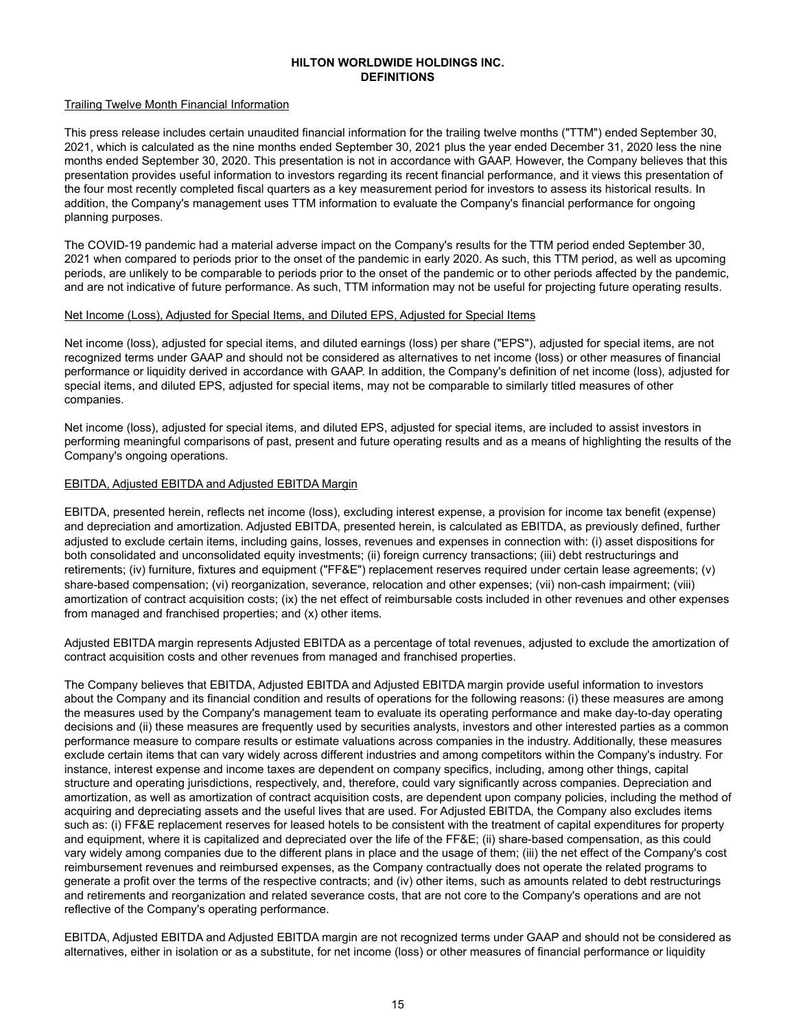## **HILTON WORLDWIDE HOLDINGS INC. DEFINITIONS**

#### <span id="page-14-0"></span>Trailing Twelve Month Financial Information

This press release includes certain unaudited financial information for the trailing twelve months ("TTM") ended September 30, 2021, which is calculated as the nine months ended September 30, 2021 plus the year ended December 31, 2020 less the nine months ended September 30, 2020. This presentation is not in accordance with GAAP. However, the Company believes that this presentation provides useful information to investors regarding its recent financial performance, and it views this presentation of the four most recently completed fiscal quarters as a key measurement period for investors to assess its historical results. In addition, the Company's management uses TTM information to evaluate the Company's financial performance for ongoing planning purposes.

The COVID-19 pandemic had a material adverse impact on the Company's results for the TTM period ended September 30, 2021 when compared to periods prior to the onset of the pandemic in early 2020. As such, this TTM period, as well as upcoming periods, are unlikely to be comparable to periods prior to the onset of the pandemic or to other periods affected by the pandemic, and are not indicative of future performance. As such, TTM information may not be useful for projecting future operating results.

#### Net Income (Loss), Adjusted for Special Items, and Diluted EPS, Adjusted for Special Items

Net income (loss), adjusted for special items, and diluted earnings (loss) per share ("EPS"), adjusted for special items, are not recognized terms under GAAP and should not be considered as alternatives to net income (loss) or other measures of financial performance or liquidity derived in accordance with GAAP. In addition, the Company's definition of net income (loss), adjusted for special items, and diluted EPS, adjusted for special items, may not be comparable to similarly titled measures of other companies.

Net income (loss), adjusted for special items, and diluted EPS, adjusted for special items, are included to assist investors in performing meaningful comparisons of past, present and future operating results and as a means of highlighting the results of the Company's ongoing operations.

#### EBITDA, Adjusted EBITDA and Adjusted EBITDA Margin

EBITDA, presented herein, reflects net income (loss), excluding interest expense, a provision for income tax benefit (expense) and depreciation and amortization. Adjusted EBITDA, presented herein, is calculated as EBITDA, as previously defined, further adjusted to exclude certain items, including gains, losses, revenues and expenses in connection with: (i) asset dispositions for both consolidated and unconsolidated equity investments; (ii) foreign currency transactions; (iii) debt restructurings and retirements; (iv) furniture, fixtures and equipment ("FF&E") replacement reserves required under certain lease agreements; (v) share-based compensation; (vi) reorganization, severance, relocation and other expenses; (vii) non-cash impairment; (viii) amortization of contract acquisition costs; (ix) the net effect of reimbursable costs included in other revenues and other expenses from managed and franchised properties; and (x) other items.

Adjusted EBITDA margin represents Adjusted EBITDA as a percentage of total revenues, adjusted to exclude the amortization of contract acquisition costs and other revenues from managed and franchised properties.

The Company believes that EBITDA, Adjusted EBITDA and Adjusted EBITDA margin provide useful information to investors about the Company and its financial condition and results of operations for the following reasons: (i) these measures are among the measures used by the Company's management team to evaluate its operating performance and make day-to-day operating decisions and (ii) these measures are frequently used by securities analysts, investors and other interested parties as a common performance measure to compare results or estimate valuations across companies in the industry. Additionally, these measures exclude certain items that can vary widely across different industries and among competitors within the Company's industry. For instance, interest expense and income taxes are dependent on company specifics, including, among other things, capital structure and operating jurisdictions, respectively, and, therefore, could vary significantly across companies. Depreciation and amortization, as well as amortization of contract acquisition costs, are dependent upon company policies, including the method of acquiring and depreciating assets and the useful lives that are used. For Adjusted EBITDA, the Company also excludes items such as: (i) FF&E replacement reserves for leased hotels to be consistent with the treatment of capital expenditures for property and equipment, where it is capitalized and depreciated over the life of the FF&E; (ii) share-based compensation, as this could vary widely among companies due to the different plans in place and the usage of them; (iii) the net effect of the Company's cost reimbursement revenues and reimbursed expenses, as the Company contractually does not operate the related programs to generate a profit over the terms of the respective contracts; and (iv) other items, such as amounts related to debt restructurings and retirements and reorganization and related severance costs, that are not core to the Company's operations and are not reflective of the Company's operating performance.

EBITDA, Adjusted EBITDA and Adjusted EBITDA margin are not recognized terms under GAAP and should not be considered as alternatives, either in isolation or as a substitute, for net income (loss) or other measures of financial performance or liquidity